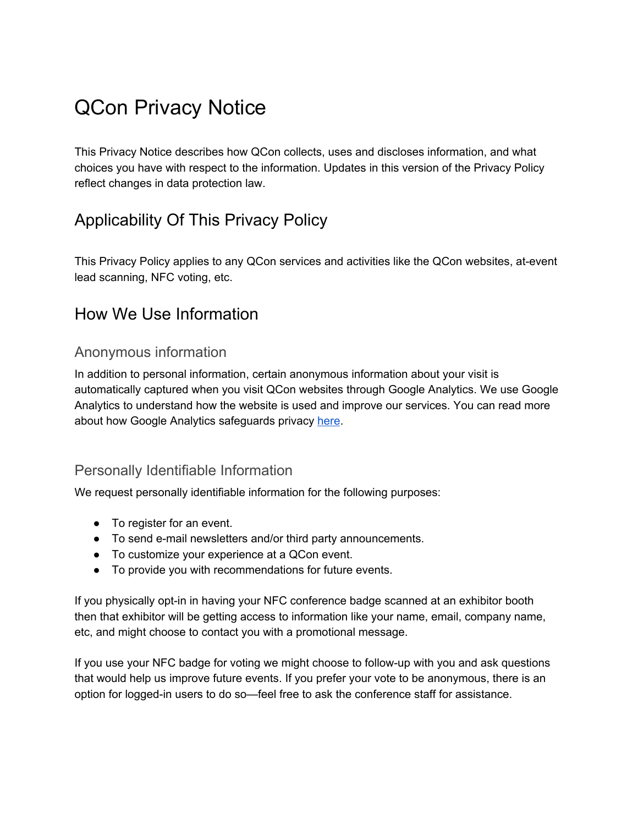# QCon Privacy Notice

This Privacy Notice describes how QCon collects, uses and discloses information, and what choices you have with respect to the information. Updates in this version of the Privacy Policy reflect changes in data protection law.

# Applicability Of This Privacy Policy

This Privacy Policy applies to any QCon services and activities like the QCon websites, at-event lead scanning, NFC voting, etc.

#### How We Use Information

#### Anonymous information

In addition to personal information, certain anonymous information about your visit is automatically captured when you visit QCon websites through Google Analytics. We use Google Analytics to understand how the website is used and improve our services. You can read more about how Google Analytics safeguards privacy [here](https://support.google.com/analytics/answer/6004245?hl=en).

#### Personally Identifiable Information

We request personally identifiable information for the following purposes:

- To register for an event.
- To send e-mail newsletters and/or third party announcements.
- To customize your experience at a QCon event.
- To provide you with recommendations for future events.

If you physically opt-in in having your NFC conference badge scanned at an exhibitor booth then that exhibitor will be getting access to information like your name, email, company name, etc, and might choose to contact you with a promotional message.

If you use your NFC badge for voting we might choose to follow-up with you and ask questions that would help us improve future events. If you prefer your vote to be anonymous, there is an option for logged-in users to do so—feel free to ask the conference staff for assistance.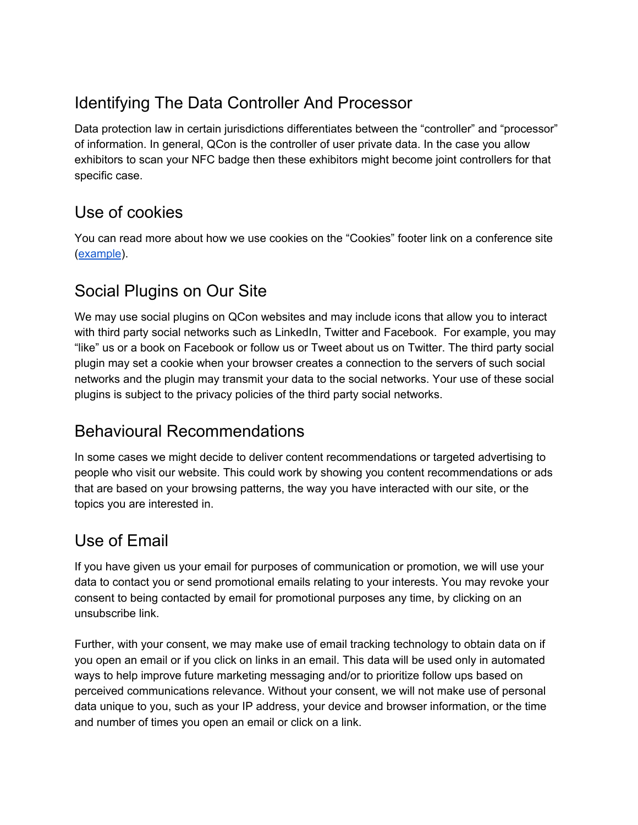# Identifying The Data Controller And Processor

Data protection law in certain jurisdictions differentiates between the "controller" and "processor" of information. In general, QCon is the controller of user private data. In the case you allow exhibitors to scan your NFC badge then these exhibitors might become joint controllers for that specific case.

# Use of cookies

You can read more about how we use cookies on the "Cookies" footer link on a conference site [\(example](https://qconnewyork.com/cookies)).

# Social Plugins on Our Site

We may use social plugins on QCon websites and may include icons that allow you to interact with third party social networks such as LinkedIn, Twitter and Facebook. For example, you may "like" us or a book on Facebook or follow us or Tweet about us on Twitter. The third party social plugin may set a cookie when your browser creates a connection to the servers of such social networks and the plugin may transmit your data to the social networks. Your use of these social plugins is subject to the privacy policies of the third party social networks.

#### Behavioural Recommendations

In some cases we might decide to deliver content recommendations or targeted advertising to people who visit our website. This could work by showing you content recommendations or ads that are based on your browsing patterns, the way you have interacted with our site, or the topics you are interested in.

### Use of Email

If you have given us your email for purposes of communication or promotion, we will use your data to contact you or send promotional emails relating to your interests. You may revoke your consent to being contacted by email for promotional purposes any time, by clicking on an unsubscribe link.

Further, with your consent, we may make use of email tracking technology to obtain data on if you open an email or if you click on links in an email. This data will be used only in automated ways to help improve future marketing messaging and/or to prioritize follow ups based on perceived communications relevance. Without your consent, we will not make use of personal data unique to you, such as your IP address, your device and browser information, or the time and number of times you open an email or click on a link.